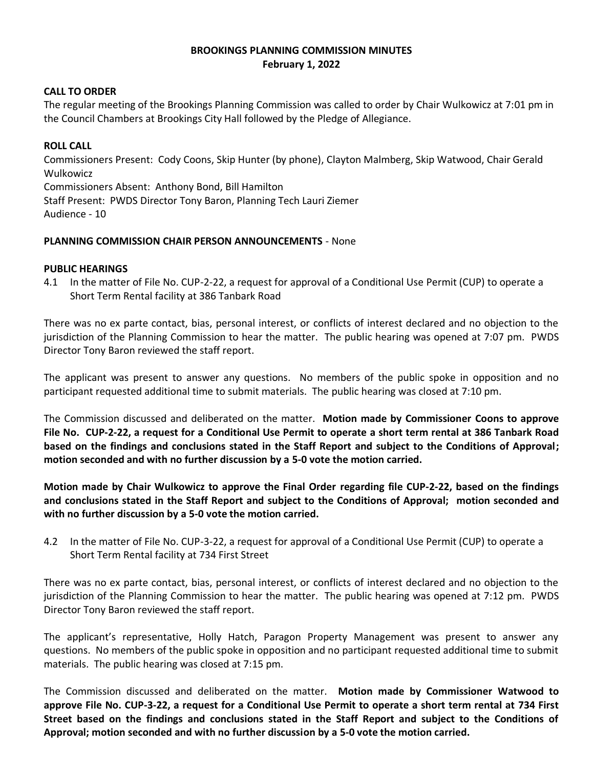## **BROOKINGS PLANNING COMMISSION MINUTES February 1, 2022**

### **CALL TO ORDER**

The regular meeting of the Brookings Planning Commission was called to order by Chair Wulkowicz at 7:01 pm in the Council Chambers at Brookings City Hall followed by the Pledge of Allegiance.

# **ROLL CALL**

Commissioners Present: Cody Coons, Skip Hunter (by phone), Clayton Malmberg, Skip Watwood, Chair Gerald Wulkowicz Commissioners Absent: Anthony Bond, Bill Hamilton Staff Present: PWDS Director Tony Baron, Planning Tech Lauri Ziemer Audience - 10

### **PLANNING COMMISSION CHAIR PERSON ANNOUNCEMENTS** - None

### **PUBLIC HEARINGS**

4.1 In the matter of File No. CUP-2-22, a request for approval of a Conditional Use Permit (CUP) to operate a Short Term Rental facility at 386 Tanbark Road

There was no ex parte contact, bias, personal interest, or conflicts of interest declared and no objection to the jurisdiction of the Planning Commission to hear the matter. The public hearing was opened at 7:07 pm. PWDS Director Tony Baron reviewed the staff report.

The applicant was present to answer any questions. No members of the public spoke in opposition and no participant requested additional time to submit materials. The public hearing was closed at 7:10 pm.

The Commission discussed and deliberated on the matter. **Motion made by Commissioner Coons to approve File No. CUP-2-22, a request for a Conditional Use Permit to operate a short term rental at 386 Tanbark Road based on the findings and conclusions stated in the Staff Report and subject to the Conditions of Approval; motion seconded and with no further discussion by a 5-0 vote the motion carried.**

**Motion made by Chair Wulkowicz to approve the Final Order regarding file CUP-2-22, based on the findings and conclusions stated in the Staff Report and subject to the Conditions of Approval; motion seconded and with no further discussion by a 5-0 vote the motion carried.**

4.2 In the matter of File No. CUP-3-22, a request for approval of a Conditional Use Permit (CUP) to operate a Short Term Rental facility at 734 First Street

There was no ex parte contact, bias, personal interest, or conflicts of interest declared and no objection to the jurisdiction of the Planning Commission to hear the matter. The public hearing was opened at 7:12 pm. PWDS Director Tony Baron reviewed the staff report.

The applicant's representative, Holly Hatch, Paragon Property Management was present to answer any questions. No members of the public spoke in opposition and no participant requested additional time to submit materials. The public hearing was closed at 7:15 pm.

The Commission discussed and deliberated on the matter. **Motion made by Commissioner Watwood to approve File No. CUP-3-22, a request for a Conditional Use Permit to operate a short term rental at 734 First Street based on the findings and conclusions stated in the Staff Report and subject to the Conditions of Approval; motion seconded and with no further discussion by a 5-0 vote the motion carried.**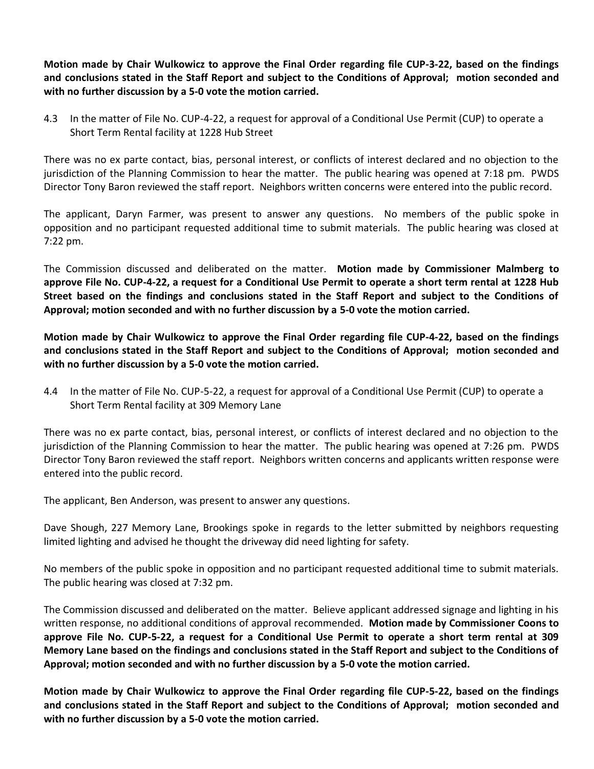**Motion made by Chair Wulkowicz to approve the Final Order regarding file CUP-3-22, based on the findings and conclusions stated in the Staff Report and subject to the Conditions of Approval; motion seconded and with no further discussion by a 5-0 vote the motion carried.**

4.3 In the matter of File No. CUP-4-22, a request for approval of a Conditional Use Permit (CUP) to operate a Short Term Rental facility at 1228 Hub Street

There was no ex parte contact, bias, personal interest, or conflicts of interest declared and no objection to the jurisdiction of the Planning Commission to hear the matter. The public hearing was opened at 7:18 pm. PWDS Director Tony Baron reviewed the staff report. Neighbors written concerns were entered into the public record.

The applicant, Daryn Farmer, was present to answer any questions. No members of the public spoke in opposition and no participant requested additional time to submit materials. The public hearing was closed at 7:22 pm.

The Commission discussed and deliberated on the matter. **Motion made by Commissioner Malmberg to approve File No. CUP-4-22, a request for a Conditional Use Permit to operate a short term rental at 1228 Hub Street based on the findings and conclusions stated in the Staff Report and subject to the Conditions of Approval; motion seconded and with no further discussion by a 5-0 vote the motion carried.**

**Motion made by Chair Wulkowicz to approve the Final Order regarding file CUP-4-22, based on the findings and conclusions stated in the Staff Report and subject to the Conditions of Approval; motion seconded and with no further discussion by a 5-0 vote the motion carried.**

4.4 In the matter of File No. CUP-5-22, a request for approval of a Conditional Use Permit (CUP) to operate a Short Term Rental facility at 309 Memory Lane

There was no ex parte contact, bias, personal interest, or conflicts of interest declared and no objection to the jurisdiction of the Planning Commission to hear the matter. The public hearing was opened at 7:26 pm. PWDS Director Tony Baron reviewed the staff report. Neighbors written concerns and applicants written response were entered into the public record.

The applicant, Ben Anderson, was present to answer any questions.

Dave Shough, 227 Memory Lane, Brookings spoke in regards to the letter submitted by neighbors requesting limited lighting and advised he thought the driveway did need lighting for safety.

No members of the public spoke in opposition and no participant requested additional time to submit materials. The public hearing was closed at 7:32 pm.

The Commission discussed and deliberated on the matter. Believe applicant addressed signage and lighting in his written response, no additional conditions of approval recommended. **Motion made by Commissioner Coons to approve File No. CUP-5-22, a request for a Conditional Use Permit to operate a short term rental at 309 Memory Lane based on the findings and conclusions stated in the Staff Report and subject to the Conditions of Approval; motion seconded and with no further discussion by a 5-0 vote the motion carried.**

**Motion made by Chair Wulkowicz to approve the Final Order regarding file CUP-5-22, based on the findings and conclusions stated in the Staff Report and subject to the Conditions of Approval; motion seconded and with no further discussion by a 5-0 vote the motion carried.**